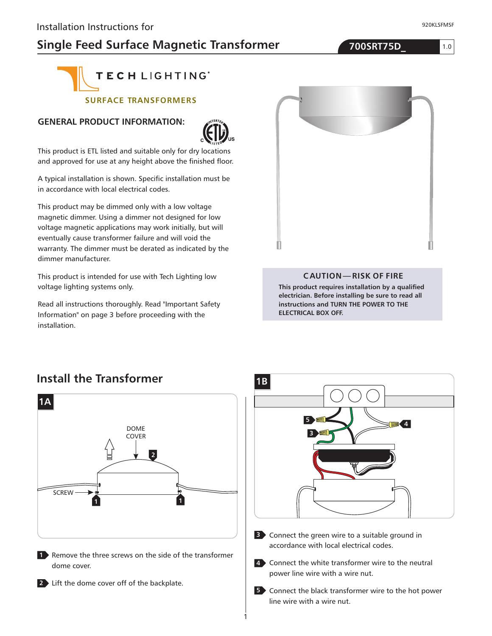## **Single Feed Surface Magnetic Transformer 700SRT75D\_**

1.0

920KLSFMSF



#### **SURFACE TRANSFORMERS**

#### **GENERAL PRODUCT INFORMATION:**



This product is ETL listed and suitable only for dry locations and approved for use at any height above the finished floor.

A typical installation is shown. Specific installation must be in accordance with local electrical codes.

This product may be dimmed only with a low voltage magnetic dimmer. Using a dimmer not designed for low voltage magnetic applications may work initially, but will eventually cause transformer failure and will void the warranty. The dimmer must be derated as indicated by the dimmer manufacturer.

This product is intended for use with Tech Lighting low voltage lighting systems only.

Read all instructions thoroughly. Read "Important Safety Information" on page 3 before proceeding with the installation.



#### **CAUTION—RISK OF FIRE**

**This product requires installation by a qualified electrician. Before installing be sure to read all instructions and TURN THE POWER TO THE ELECTRICAL BOX OFF.**

#### **Install the Transformer**





**5** Connect the black transformer wire to the hot power line wire with a wire nut.

1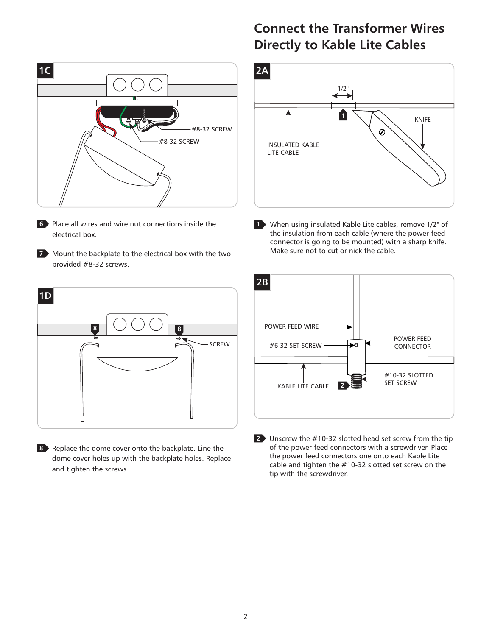

- Place all wires and wire nut connections inside the **6** electrical box.
- **7** Mount the backplate to the electrical box with the two provided #8-32 screws.



8 Replace the dome cover onto the backplate. Line the dome cover holes up with the backplate holes. Replace and tighten the screws.

### **Connect the Transformer Wires Directly to Kable Lite Cables**



When using insulated Kable Lite cables, remove 1/2" of **1** the insulation from each cable (where the power feed connector is going to be mounted) with a sharp knife. Make sure not to cut or nick the cable.



Unscrew the #10-32 slotted head set screw from the tip **2** of the power feed connectors with a screwdriver. Place the power feed connectors one onto each Kable Lite cable and tighten the #10-32 slotted set screw on the tip with the screwdriver.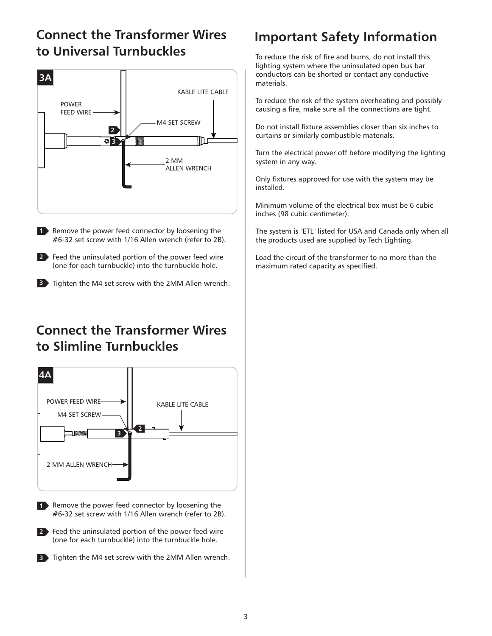## **Connect the Transformer Wires to Universal Turnbuckles**



1 Remove the power feed connector by loosening the #6-32 set screw with 1/16 Allen wrench (refer to 2B).

Feed the uninsulated portion of the power feed wire **2** (one for each turnbuckle) into the turnbuckle hole.

**3** Tighten the M4 set screw with the 2MM Allen wrench.

## **Connect the Transformer Wires to Slimline Turnbuckles**



- 1 Remove the power feed connector by loosening the #6-32 set screw with 1/16 Allen wrench (refer to 2B).
- Feed the uninsulated portion of the power feed wire **2** (one for each turnbuckle) into the turnbuckle hole.
- **3** Tighten the M4 set screw with the 2MM Allen wrench.

# **Important Safety Information**

To reduce the risk of fire and burns, do not install this lighting system where the uninsulated open bus bar conductors can be shorted or contact any conductive materials.

To reduce the risk of the system overheating and possibly causing a fire, make sure all the connections are tight.

Do not install fixture assemblies closer than six inches to curtains or similarly combustible materials.

Turn the electrical power off before modifying the lighting system in any way.

Only fixtures approved for use with the system may be installed.

Minimum volume of the electrical box must be 6 cubic inches (98 cubic centimeter).

The system is "ETL" listed for USA and Canada only when all the products used are supplied by Tech Lighting.

Load the circuit of the transformer to no more than the maximum rated capacity as specified.